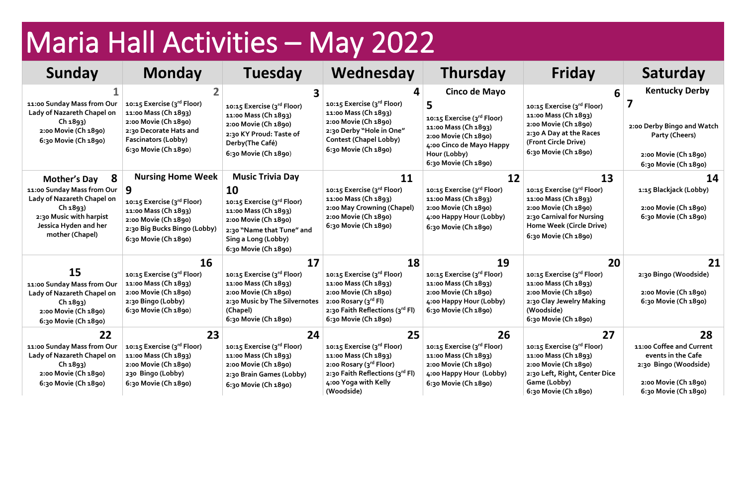## Maria Hall Activities – May 2022

| Sunday                                                                                                                                                                  | <b>Monday</b>                                                                                                                                                       | <b>Tuesday</b>                                                                                                                                                                                 | Wednesday                                                                                                                                                                | <b>Thursday</b>                                                                                                                                                             | Friday                                                                                                                                                            | Saturday                                                                                                                      |
|-------------------------------------------------------------------------------------------------------------------------------------------------------------------------|---------------------------------------------------------------------------------------------------------------------------------------------------------------------|------------------------------------------------------------------------------------------------------------------------------------------------------------------------------------------------|--------------------------------------------------------------------------------------------------------------------------------------------------------------------------|-----------------------------------------------------------------------------------------------------------------------------------------------------------------------------|-------------------------------------------------------------------------------------------------------------------------------------------------------------------|-------------------------------------------------------------------------------------------------------------------------------|
| 11:00 Sunday Mass from Our<br>Lady of Nazareth Chapel on<br>Ch 1893)<br>2:00 Movie (Ch 1890)<br>6:30 Movie (Ch 1890)                                                    | 10:15 Exercise (3rd Floor)<br>11:00 Mass (Ch 1893)<br>2:00 Movie (Ch 1890)<br>2:30 Decorate Hats and<br><b>Fascinators (Lobby)</b><br>6:30 Movie (Ch 1890)          | 10:15 Exercise (3rd Floor)<br>11:00 Mass (Ch 1893)<br>2:00 Movie (Ch 1890)<br>2:30 KY Proud: Taste of<br>Derby(The Café)<br>6:30 Movie (Ch 1890)                                               | 4<br>10:15 Exercise (3rd Floor)<br>11:00 Mass (Ch 1893)<br>2:00 Movie (Ch 1890)<br>2:30 Derby "Hole in One"<br><b>Contest (Chapel Lobby)</b><br>6:30 Movie (Ch 1890)     | <b>Cinco de Mayo</b><br>5<br>10:15 Exercise (3rd Floor)<br>11:00 Mass (Ch 1893)<br>2:00 Movie (Ch 1890)<br>4:00 Cinco de Mayo Happy<br>Hour (Lobby)<br>6:30 Movie (Ch 1890) | 10:15 Exercise (3rd Floor)<br>11:00 Mass (Ch 1893)<br>2:00 Movie (Ch 1890)<br>2:30 A Day at the Races<br>(Front Circle Drive)<br>6:30 Movie (Ch 1890)             | <b>Kentucky Derby</b><br>2:00 Derby Bingo and Watch<br>Party (Cheers)<br>2:00 Movie (Ch 1890)<br>6:30 Movie (Ch 1890)         |
| 8<br><b>Mother's Day</b><br>11:00 Sunday Mass from Our<br>Lady of Nazareth Chapel on<br>Ch 1893)<br>2:30 Music with harpist<br>Jessica Hyden and her<br>mother (Chapel) | <b>Nursing Home Week</b><br>9<br>10:15 Exercise (3rd Floor)<br>11:00 Mass (Ch 1893)<br>2:00 Movie (Ch 1890)<br>2:30 Big Bucks Bingo (Lobby)<br>6:30 Movie (Ch 1890) | <b>Music Trivia Day</b><br><b>10</b><br>10:15 Exercise (3rd Floor)<br>11:00 Mass (Ch 1893)<br>2:00 Movie (Ch 1890)<br>2:30 "Name that Tune" and<br>Sing a Long (Lobby)<br>6:30 Movie (Ch 1890) | 11<br>10:15 Exercise (3rd Floor)<br>11:00 Mass (Ch 1893)<br>2:00 May Crowning (Chapel)<br>2:00 Movie (Ch 1890)<br>6:30 Movie (Ch 1890)                                   | 12<br>10:15 Exercise (3rd Floor)<br>11:00 Mass (Ch 1893)<br>2:00 Movie (Ch 1890)<br>4:00 Happy Hour (Lobby)<br>6:30 Movie (Ch 1890)                                         | 13<br>10:15 Exercise (3rd Floor)<br>11:00 Mass (Ch 1893)<br>2:00 Movie (Ch 1890)<br>2:30 Carnival for Nursing<br>Home Week (Circle Drive)<br>6:30 Movie (Ch 1890) | 14<br>1:15 Blackjack (Lobby)<br>2:00 Movie (Ch 1890)<br>6:30 Movie (Ch 1890)                                                  |
| 15<br>11:00 Sunday Mass from Our<br>Lady of Nazareth Chapel on<br>Ch 1893)<br>2:00 Movie (Ch 1890)<br>6:30 Movie (Ch 1890)                                              | 16<br>10:15 Exercise (3rd Floor)<br>11:00 Mass (Ch 1893)<br>2:00 Movie (Ch 1890)<br>2:30 Bingo (Lobby)<br>6:30 Movie (Ch 1890)                                      | 17<br>10:15 Exercise (3rd Floor)<br>11:00 Mass (Ch 1893)<br>2:00 Movie (Ch 1890)<br>2:30 Music by The Silvernotes<br>(Chapel)<br>6:30 Movie (Ch 1890)                                          | 18<br>10:15 Exercise (3rd Floor)<br>11:00 Mass (Ch 1893)<br>2:00 Movie (Ch 1890)<br>2:00 Rosary (3rd Fl)<br>2:30 Faith Reflections (3rd Fl)<br>6:30 Movie (Ch 1890)      | 19<br>10:15 Exercise (3rd Floor)<br>11:00 Mass (Ch 1893)<br>2:00 Movie (Ch 1890)<br>4:00 Happy Hour (Lobby)<br>6:30 Movie (Ch 1890)                                         | 20<br>10:15 Exercise (3rd Floor)<br>11:00 Mass (Ch 1893)<br>2:00 Movie (Ch 1890)<br>2:30 Clay Jewelry Making<br>(Woodside)<br>6:30 Movie (Ch 1890)                | 21<br>2:30 Bingo (Woodside)<br>2:00 Movie (Ch 1890)<br>6:30 Movie (Ch 1890)                                                   |
| 22<br>11:00 Sunday Mass from Our<br>Lady of Nazareth Chapel on<br>Ch 1893)<br>2:00 Movie (Ch 1890)<br>6:30 Movie (Ch 1890)                                              | 23<br>10:15 Exercise (3rd Floor)<br>11:00 Mass (Ch 1893)<br>2:00 Movie (Ch 1890)<br>230 Bingo (Lobby)<br>6:30 Movie (Ch 1890)                                       | 24<br>10:15 Exercise (3rd Floor)<br>11:00 Mass (Ch 1893)<br>2:00 Movie (Ch 1890)<br>2:30 Brain Games (Lobby)<br>6:30 Movie (Ch 1890)                                                           | 25<br>10:15 Exercise (3rd Floor)<br>11:00 Mass (Ch 1893)<br>2:00 Rosary (3 <sup>rd</sup> Floor)<br>2:30 Faith Reflections (3rd Fl)<br>4:00 Yoga with Kelly<br>(Woodside) | 26<br>10:15 Exercise (3rd Floor)<br>11:00 Mass (Ch 1893)<br>2:00 Movie (Ch 1890)<br>4:00 Happy Hour (Lobby)<br>6:30 Movie (Ch 1890)                                         | 27<br>10:15 Exercise (3rd Floor)<br>11:00 Mass (Ch 1893)<br>2:00 Movie (Ch 1890)<br>2:30 Left, Right, Center Dice<br>Game (Lobby)<br>6:30 Movie (Ch 1890)         | 28<br>11:00 Coffee and Current<br>events in the Cafe<br>2:30 Bingo (Woodside)<br>2:00 Movie (Ch 1890)<br>6:30 Movie (Ch 1890) |